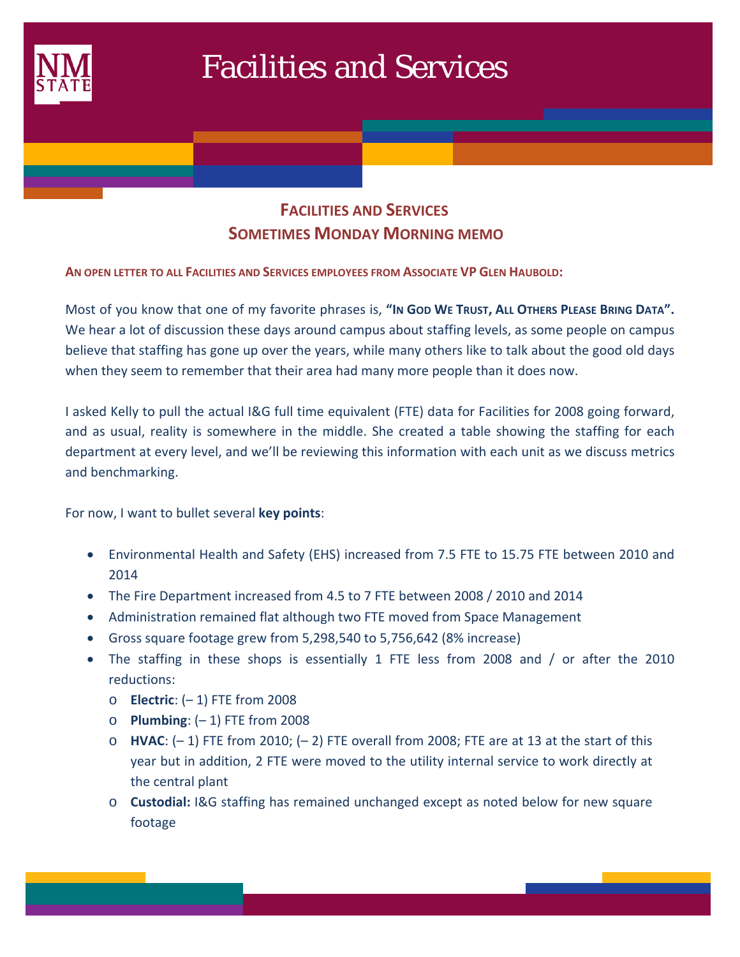

# Facilities and Services

## **FACILITIES AND SERVICES SOMETIMES MONDAY MORNING MEMO**

**AN OPEN LETTER TO ALL FACILITIES AND SERVICES EMPLOYEES FROM ASSOCIATE VP GLEN HAUBOLD:**

Most of you know that one of my favorite phrases is, **"IN GOD WE TRUST, ALL OTHERS PLEASE BRING DATA".** We hear a lot of discussion these days around campus about staffing levels, as some people on campus believe that staffing has gone up over the years, while many others like to talk about the good old days when they seem to remember that their area had many more people than it does now.

I asked Kelly to pull the actual I&G full time equivalent (FTE) data for Facilities for 2008 going forward, and as usual, reality is somewhere in the middle. She created a table showing the staffing for each department at every level, and we'll be reviewing this information with each unit as we discuss metrics and benchmarking.

For now, I want to bullet several **key points**:

- Environmental Health and Safety (EHS) increased from 7.5 FTE to 15.75 FTE between 2010 and 2014
- The Fire Department increased from 4.5 to 7 FTE between 2008 / 2010 and 2014
- Administration remained flat although two FTE moved from Space Management
- Gross square footage grew from 5,298,540 to 5,756,642 (8% increase)
- The staffing in these shops is essentially 1 FTE less from 2008 and / or after the 2010 reductions:
	- o **Electric**: (– 1) FTE from 2008
	- o **Plumbing**: (– 1) FTE from 2008
	- o **HVAC**: (– 1) FTE from 2010; (– 2) FTE overall from 2008; FTE are at 13 at the start of this year but in addition, 2 FTE were moved to the utility internal service to work directly at the central plant
	- o **Custodial:** I&G staffing has remained unchanged except as noted below for new square footage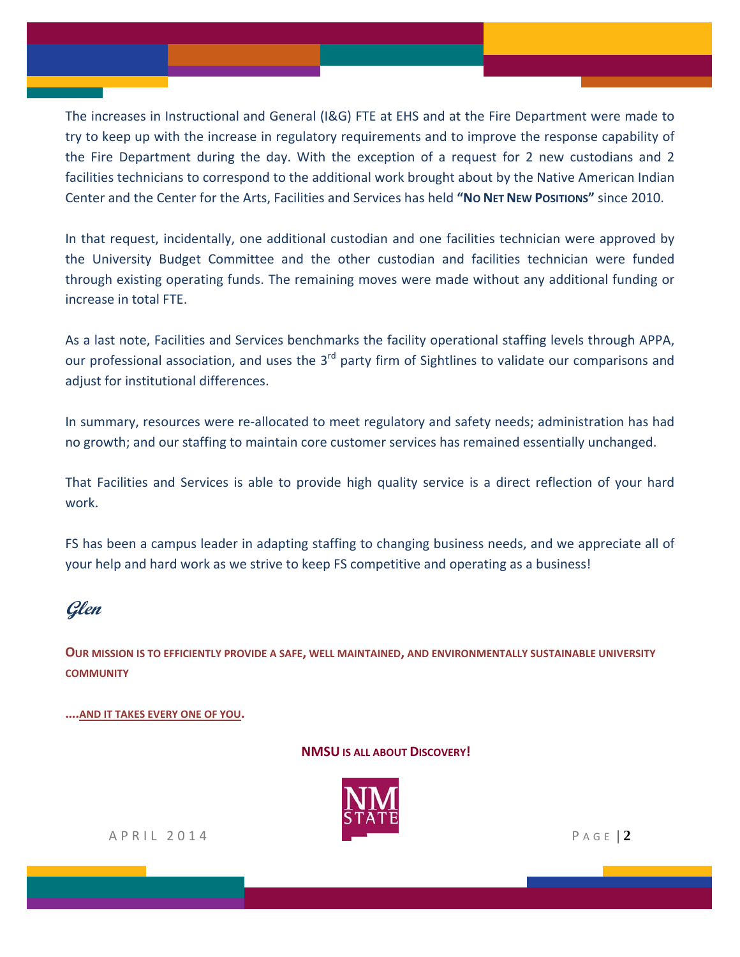The increases in Instructional and General (I&G) FTE at EHS and at the Fire Department were made to try to keep up with the increase in regulatory requirements and to improve the response capability of the Fire Department during the day. With the exception of a request for 2 new custodians and 2 facilities technicians to correspond to the additional work brought about by the Native American Indian Center and the Center for the Arts, Facilities and Services has held **"NO NET NEW POSITIONS"** since 2010.

In that request, incidentally, one additional custodian and one facilities technician were approved by the University Budget Committee and the other custodian and facilities technician were funded through existing operating funds. The remaining moves were made without any additional funding or increase in total FTE.

As a last note, Facilities and Services benchmarks the facility operational staffing levels through APPA, our professional association, and uses the 3<sup>rd</sup> party firm of Sightlines to validate our comparisons and adjust for institutional differences.

In summary, resources were re-allocated to meet regulatory and safety needs; administration has had no growth; and our staffing to maintain core customer services has remained essentially unchanged.

That Facilities and Services is able to provide high quality service is a direct reflection of your hard work.

FS has been a campus leader in adapting staffing to changing business needs, and we appreciate all of your help and hard work as we strive to keep FS competitive and operating as a business!

## **Glen**

**OUR MISSION IS TO EFFICIENTLY PROVIDE A SAFE, WELL MAINTAINED, AND ENVIRONMENTALLY SUSTAINABLE UNIVERSITY COMMUNITY**

**….AND IT TAKES EVERY ONE OF YOU.**

#### **NMSU IS ALL ABOUT DISCOVERY!**



APRIL 2014 P AGE | **2**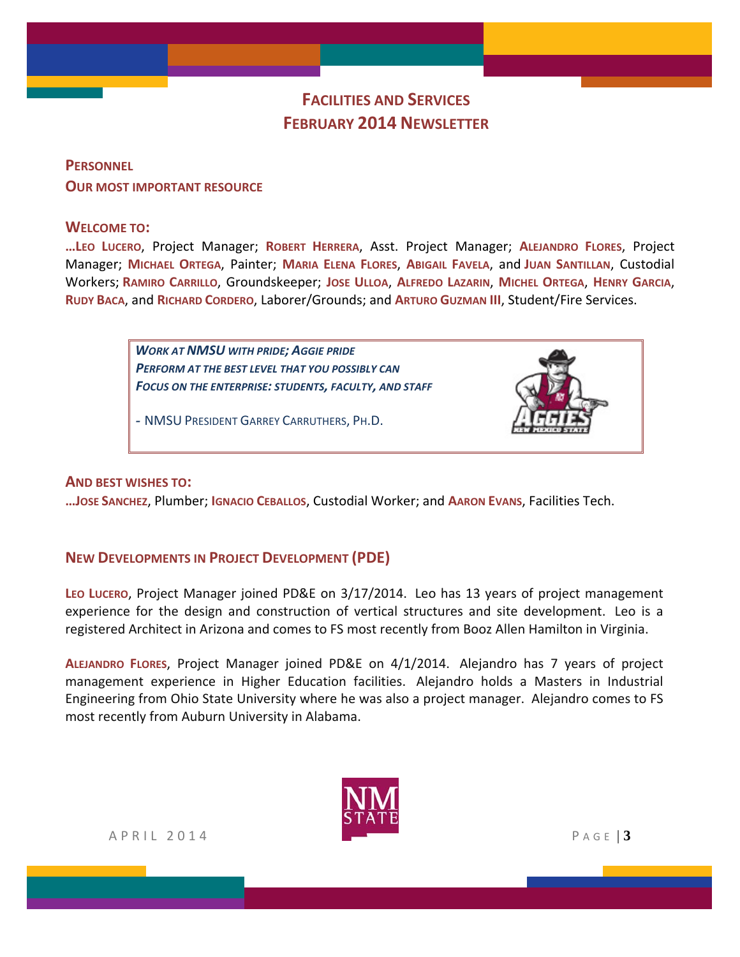## **FACILITIES AND SERVICES FEBRUARY 2014 NEWSLETTER**

**PERSONNEL OUR MOST IMPORTANT RESOURCE**

#### **WELCOME TO:**

**…LEO LUCERO**, Project Manager; **ROBERT HERRERA**, Asst. Project Manager; **ALEJANDRO FLORES**, Project Manager; **MICHAEL ORTEGA**, Painter; **MARIA ELENA FLORES**, **ABIGAIL FAVELA**, and **JUAN SANTILLAN**, Custodial Workers; **RAMIRO CARRILLO**, Groundskeeper; **JOSE ULLOA**, **ALFREDO LAZARIN**, **MICHEL ORTEGA**, **HENRY GARCIA**, **RUDY BACA**, and **RICHARD CORDERO**, Laborer/Grounds; and **ARTURO GUZMAN III**, Student/Fire Services.

> *WORK AT NMSU WITH PRIDE; AGGIE PRIDE PERFORM AT THE BEST LEVEL THAT YOU POSSIBLY CAN FOCUS ON THE ENTERPRISE: STUDENTS, FACULTY, AND STAFF*

*-* NMSU PRESIDENT GARREY CARRUTHERS, PH.D.



#### **AND BEST WISHES TO:**

**…JOSE SANCHEZ**, Plumber; **IGNACIO CEBALLOS**, Custodial Worker; and **AARON EVANS**, Facilities Tech.

#### **NEW DEVELOPMENTS IN PROJECT DEVELOPMENT (PDE)**

**LEO LUCERO**, Project Manager joined PD&E on 3/17/2014. Leo has 13 years of project management experience for the design and construction of vertical structures and site development. Leo is a registered Architect in Arizona and comes to FS most recently from Booz Allen Hamilton in Virginia.

**ALEJANDRO FLORES**, Project Manager joined PD&E on 4/1/2014. Alejandro has 7 years of project management experience in Higher Education facilities. Alejandro holds a Masters in Industrial Engineering from Ohio State University where he was also a project manager. Alejandro comes to FS most recently from Auburn University in Alabama.



APRIL 2014 PAGE | **3**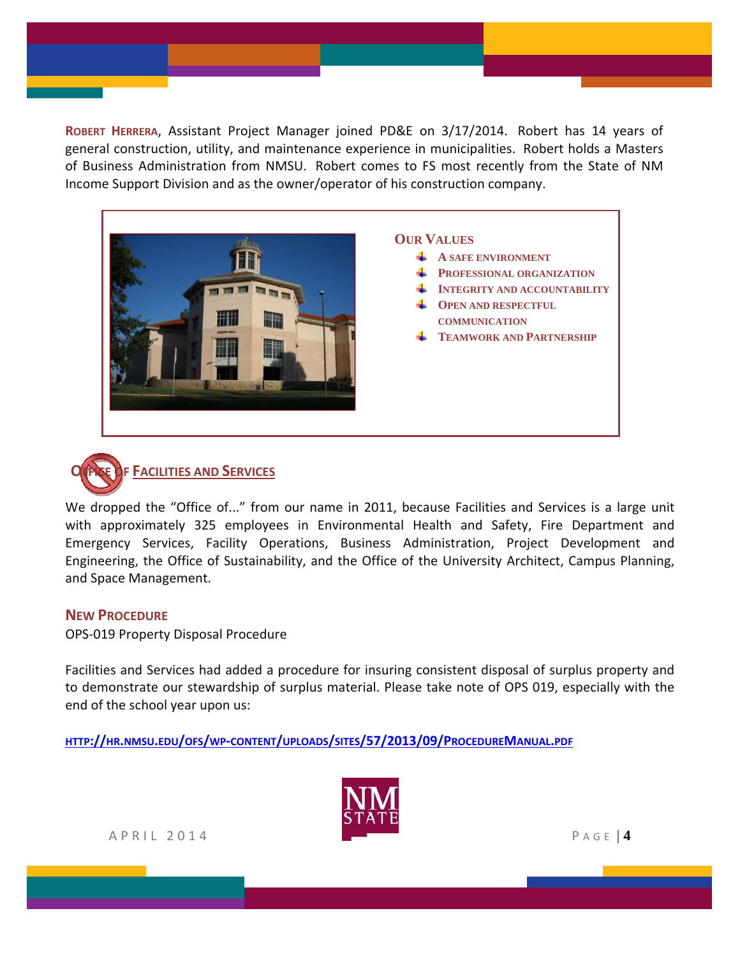**ROBERT HERRERA**, Assistant Project Manager joined PD&E on 3/17/2014. Robert has 14 years of general construction, utility, and maintenance experience in municipalities. Robert holds a Masters of Business Administration from NMSU. Robert comes to FS most recently from the State of NM Income Support Division and as the owner/operator of his construction company.



**OUR VALUES**

- **A SAFE ENVIRONMENT**
- **PROFESSIONAL ORGANIZATION**
- **INTEGRITY AND ACCOUNTABILITY**
- **COPEN AND RESPECTFUL COMMUNICATION**
- **FEAMWORK AND PARTNERSHIP**



We dropped the "Office of..." from our name in 2011, because Facilities and Services is a large unit with approximately 325 employees in Environmental Health and Safety, Fire Department and Emergency Services, Facility Operations, Business Administration, Project Development and Engineering, the Office of Sustainability, and the Office of the University Architect, Campus Planning, and Space Management.

#### **NEW PROCEDURE**

OPS‐019 Property Disposal Procedure

Facilities and Services had added a procedure for insuring consistent disposal of surplus property and to demonstrate our stewardship of surplus material. Please take note of OPS 019, especially with the end of the school year upon us:

**HTTP://HR.NMSU.EDU/OFS/WP‐CONTENT/UPLOADS/SITES/57/2013/09/PROCEDUREMANUAL.PDF**



APRIL 2014 PAGE | **4**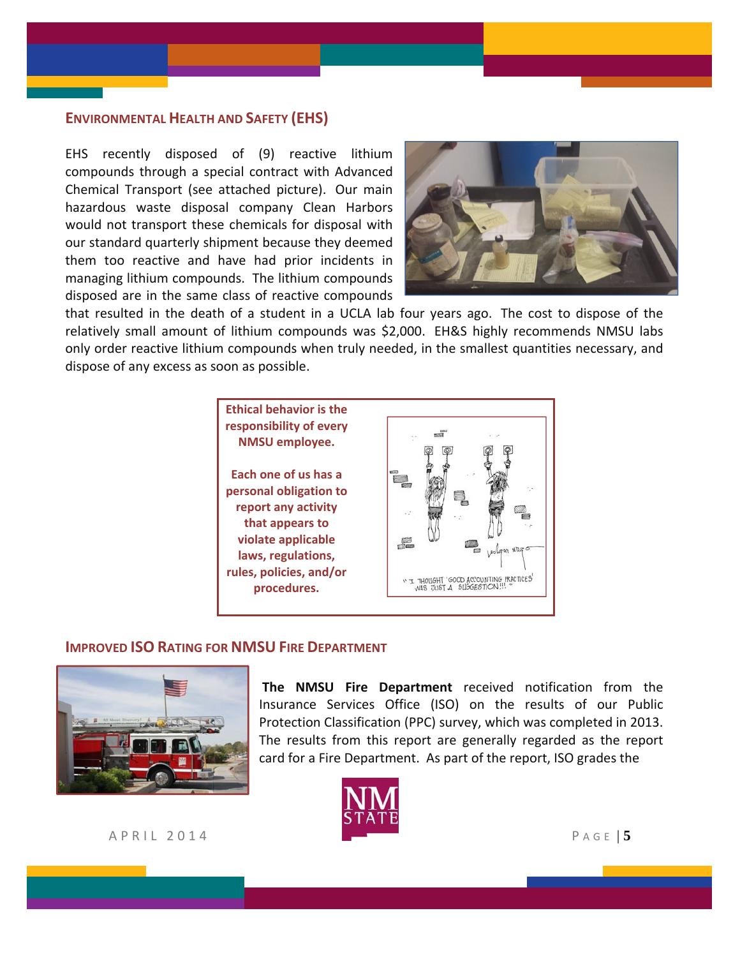#### **ENVIRONMENTAL HEALTH AND SAFETY (EHS)**

EHS recently disposed of (9) reactive lithium compounds through a special contract with Advanced Chemical Transport (see attached picture). Our main hazardous waste disposal company Clean Harbors would not transport these chemicals for disposal with our standard quarterly shipment because they deemed them too reactive and have had prior incidents in managing lithium compounds. The lithium compounds disposed are in the same class of reactive compounds



that resulted in the death of a student in a UCLA lab four years ago. The cost to dispose of the relatively small amount of lithium compounds was \$2,000. EH&S highly recommends NMSU labs only order reactive lithium compounds when truly needed, in the smallest quantities necessary, and dispose of any excess as soon as possible.



#### **IMPROVED ISO RATING FOR NMSU FIRE DEPARTMENT**



**The NMSU Fire Department** received notification from the Insurance Services Office (ISO) on the results of our Public Protection Classification (PPC) survey, which was completed in 2013. The results from this report are generally regarded as the report card for a Fire Department. As part of the report, ISO grades the



APRIL 2014 PAGE | **5**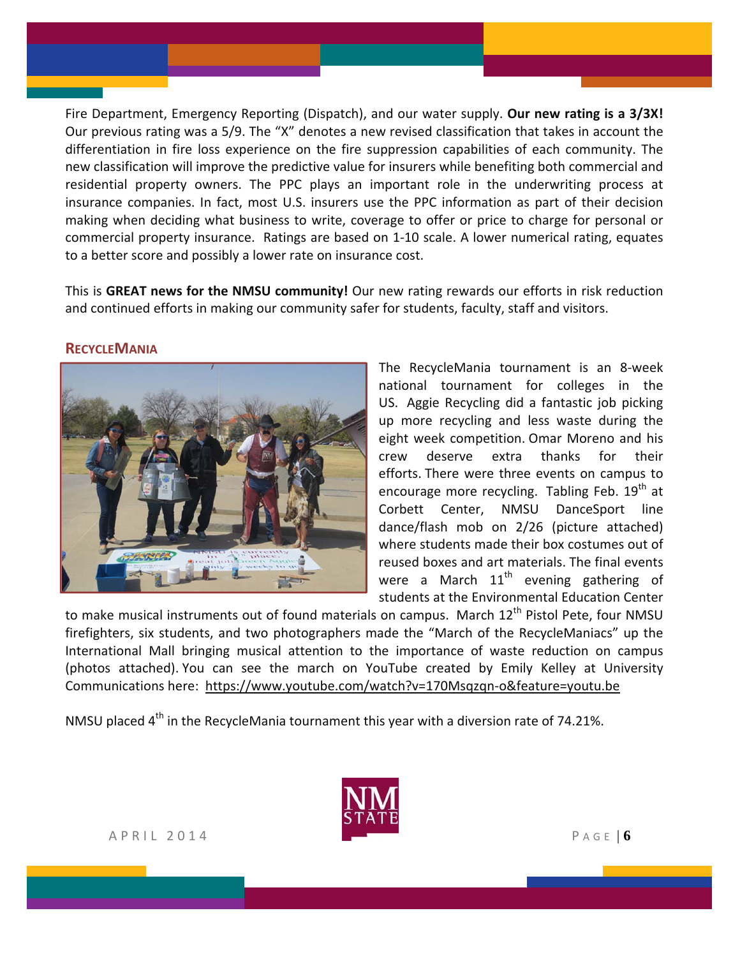Fire Department, Emergency Reporting (Dispatch), and our water supply. **Our new rating is a 3/3X!** Our previous rating was a 5/9. The "X" denotes a new revised classification that takes in account the differentiation in fire loss experience on the fire suppression capabilities of each community. The new classification will improve the predictive value for insurers while benefiting both commercial and residential property owners. The PPC plays an important role in the underwriting process at insurance companies. In fact, most U.S. insurers use the PPC information as part of their decision making when deciding what business to write, coverage to offer or price to charge for personal or commercial property insurance. Ratings are based on 1‐10 scale. A lower numerical rating, equates to a better score and possibly a lower rate on insurance cost.

This is **GREAT news for the NMSU community!** Our new rating rewards our efforts in risk reduction and continued efforts in making our community safer for students, faculty, staff and visitors.

#### **RECYCLEMANIA**



The RecycleMania tournament is an 8‐week national tournament for colleges in the US. Aggie Recycling did a fantastic job picking up more recycling and less waste during the eight week competition. Omar Moreno and his crew deserve extra thanks for their efforts. There were three events on campus to encourage more recycling. Tabling Feb.  $19<sup>th</sup>$  at Corbett Center, NMSU DanceSport line dance/flash mob on 2/26 (picture attached) where students made their box costumes out of reused boxes and art materials. The final events were a March  $11<sup>th</sup>$  evening gathering of students at the Environmental Education Center

to make musical instruments out of found materials on campus. March  $12<sup>th</sup>$  Pistol Pete, four NMSU firefighters, six students, and two photographers made the "March of the RecycleManiacs" up the International Mall bringing musical attention to the importance of waste reduction on campus (photos attached). You can see the march on YouTube created by Emily Kelley at University Communications here: https://www.youtube.com/watch?v=170Msqzqn‐o&feature=youtu.be

NMSU placed  $4<sup>th</sup>$  in the RecycleMania tournament this year with a diversion rate of 74.21%.

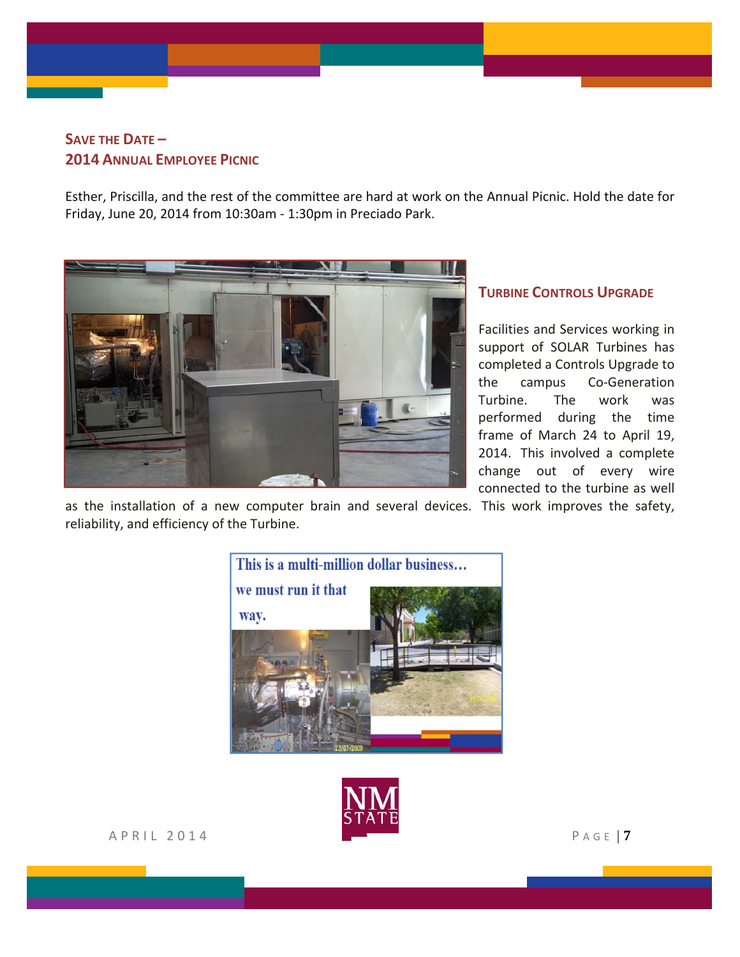### **SAVE THE DATE – 2014 ANNUAL EMPLOYEE PICNIC**

Esther, Priscilla, and the rest of the committee are hard at work on the Annual Picnic. Hold the date for Friday, June 20, 2014 from 10:30am ‐ 1:30pm in Preciado Park.



#### **TURBINE CONTROLS UPGRADE**

Facilities and Services working in support of SOLAR Turbines has completed a Controls Upgrade to the campus Co‐Generation Turbine. The work was performed during the time frame of March 24 to April 19, 2014. This involved a complete change out of every wire connected to the turbine as well

as the installation of a new computer brain and several devices. This work improves the safety, reliability, and efficiency of the Turbine.



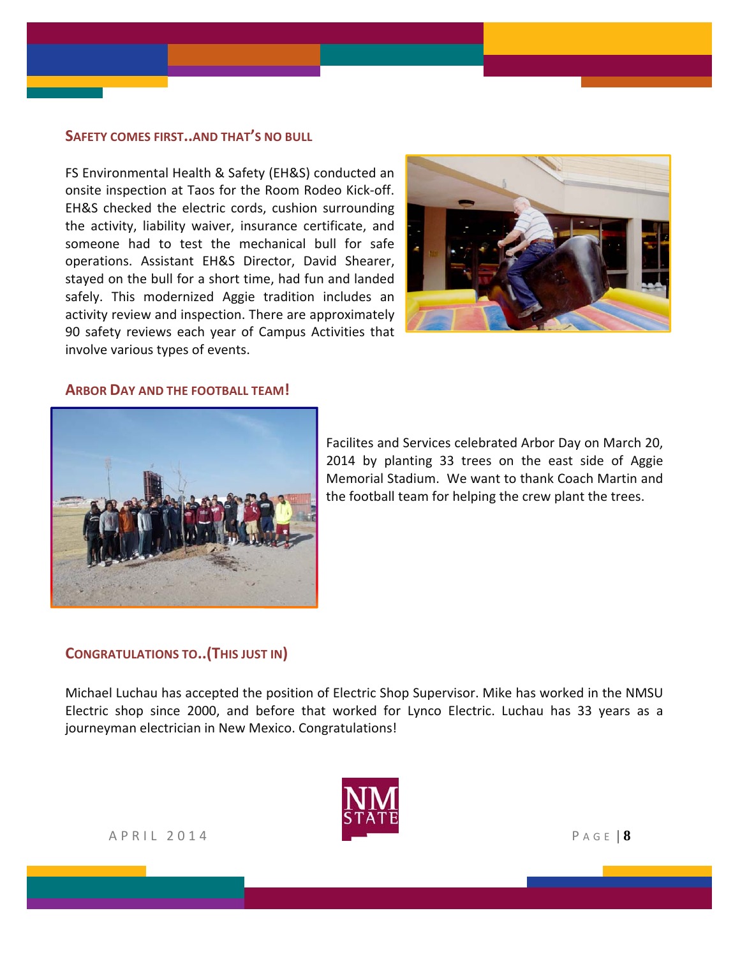#### **SAFETY COMES FIRST..AND THAT'S NO BULL**

FS Environmental Health & Safety (EH&S) conducted an onsite inspection at Taos for the Room Rodeo Kick‐off. EH&S checked the electric cords, cushion surrounding the activity, liability waiver, insurance certificate, and someone had to test the mechanical bull for safe operations. Assistant EH&S Director, David Shearer, stayed on the bull for a short time, had fun and landed safely. This modernized Aggie tradition includes an activity review and inspection. There are approximately 90 safety reviews each year of Campus Activities that involve various types of events.



#### **ARBOR DAY AND THE FOOTBALL TEAM!**



Facilites and Services celebrated Arbor Day on March 20, 2014 by planting 33 trees on the east side of Aggie Memorial Stadium. We want to thank Coach Martin and the football team for helping the crew plant the trees.

#### **CONGRATULATIONS TO..(THIS JUST IN)**

Michael Luchau has accepted the position of Electric Shop Supervisor. Mike has worked in the NMSU Electric shop since 2000, and before that worked for Lynco Electric. Luchau has 33 years as a journeyman electrician in New Mexico. Congratulations!

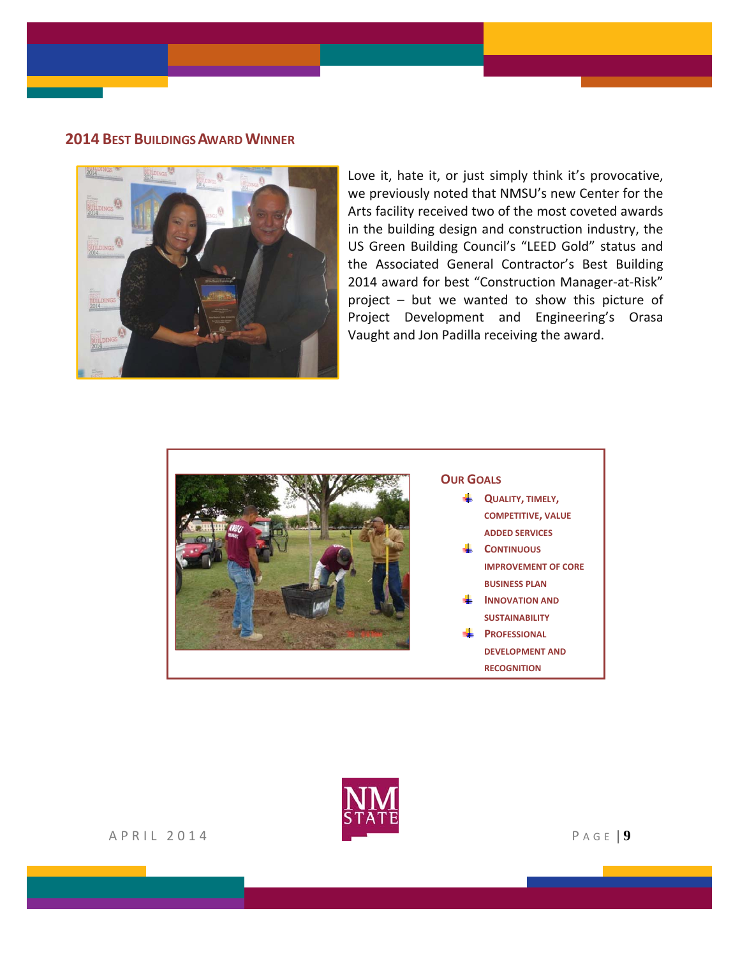#### **2014 BEST BUILDINGS AWARD WINNER**



Love it, hate it, or just simply think it's provocative, we previously noted that NMSU's new Center for the Arts facility received two of the most coveted awards in the building design and construction industry, the US Green Building Council's "LEED Gold" status and the Associated General Contractor's Best Building 2014 award for best "Construction Manager-at-Risk" project – but we wanted to show this picture of Project Development and Engineering's Orasa Vaught and Jon Padilla receiving the award.



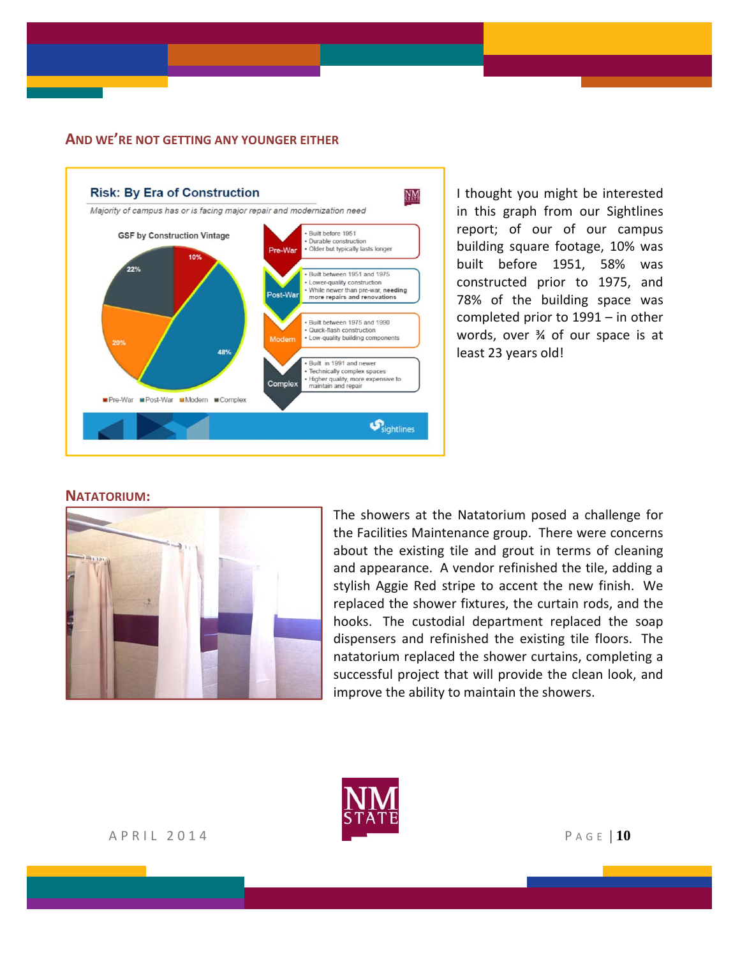#### **AND WE'RE NOT GETTING ANY YOUNGER EITHER**



I thought you might be interested in this graph from our Sightlines report; of our of our campus building square footage, 10% was built before 1951, 58% was constructed prior to 1975, and 78% of the building space was completed prior to 1991 – in other words, over ¾ of our space is at least 23 years old!

#### **NATATORIUM:**



The showers at the Natatorium posed a challenge for the Facilities Maintenance group. There were concerns about the existing tile and grout in terms of cleaning and appearance. A vendor refinished the tile, adding a stylish Aggie Red stripe to accent the new finish. We replaced the shower fixtures, the curtain rods, and the hooks. The custodial department replaced the soap dispensers and refinished the existing tile floors. The natatorium replaced the shower curtains, completing a successful project that will provide the clean look, and improve the ability to maintain the showers.